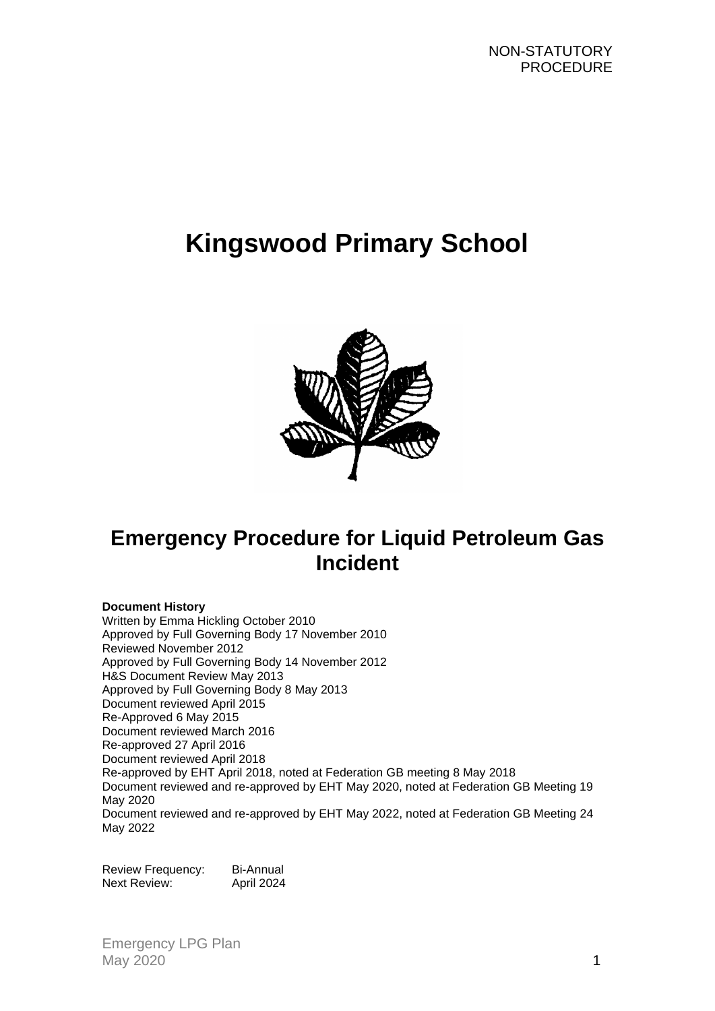# **Kingswood Primary School**



## **Emergency Procedure for Liquid Petroleum Gas Incident**

#### **Document History**

Written by Emma Hickling October 2010 Approved by Full Governing Body 17 November 2010 Reviewed November 2012 Approved by Full Governing Body 14 November 2012 H&S Document Review May 2013 Approved by Full Governing Body 8 May 2013 Document reviewed April 2015 Re-Approved 6 May 2015 Document reviewed March 2016 Re-approved 27 April 2016 Document reviewed April 2018 Re-approved by EHT April 2018, noted at Federation GB meeting 8 May 2018 Document reviewed and re-approved by EHT May 2020, noted at Federation GB Meeting 19 May 2020 Document reviewed and re-approved by EHT May 2022, noted at Federation GB Meeting 24 May 2022

Review Frequency: Bi-Annual Next Review: April 2024

Emergency LPG Plan May 2020 **1**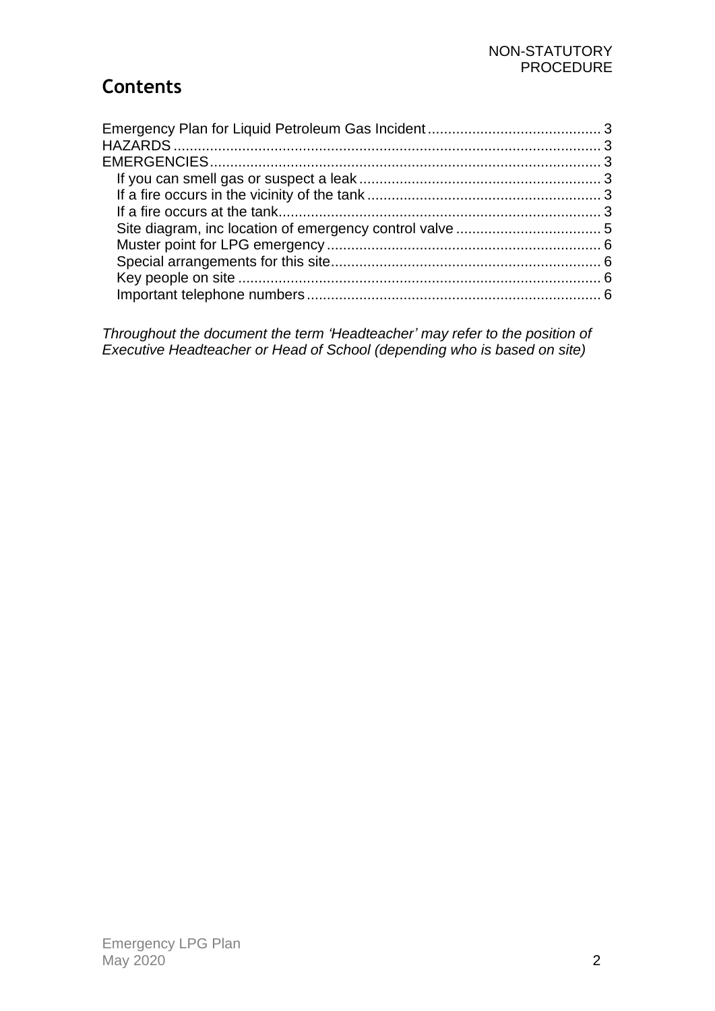## **Contents**

*Throughout the document the term 'Headteacher' may refer to the position of Executive Headteacher or Head of School (depending who is based on site)*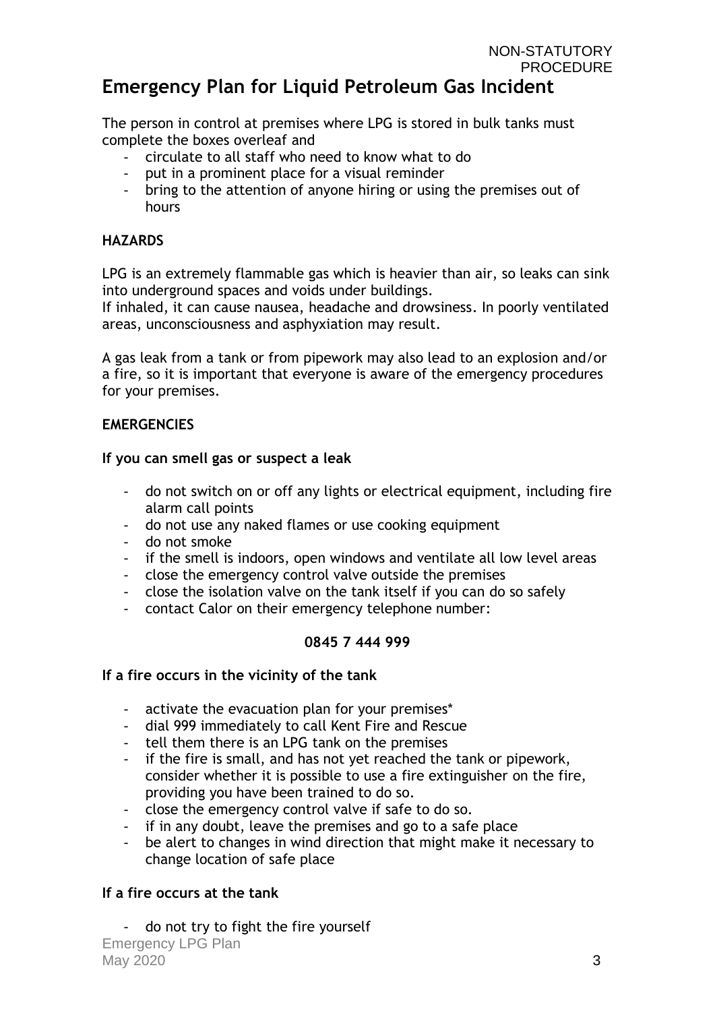<span id="page-2-0"></span>The person in control at premises where LPG is stored in bulk tanks must complete the boxes overleaf and

- circulate to all staff who need to know what to do
- put in a prominent place for a visual reminder
- bring to the attention of anyone hiring or using the premises out of hours

#### <span id="page-2-1"></span>**HAZARDS**

LPG is an extremely flammable gas which is heavier than air, so leaks can sink into underground spaces and voids under buildings.

If inhaled, it can cause nausea, headache and drowsiness. In poorly ventilated areas, unconsciousness and asphyxiation may result.

A gas leak from a tank or from pipework may also lead to an explosion and/or a fire, so it is important that everyone is aware of the emergency procedures for your premises.

#### <span id="page-2-2"></span>**EMERGENCIES**

#### <span id="page-2-3"></span>**If you can smell gas or suspect a leak**

- do not switch on or off any lights or electrical equipment, including fire alarm call points
- do not use any naked flames or use cooking equipment
- do not smoke
- if the smell is indoors, open windows and ventilate all low level areas
- close the emergency control valve outside the premises
- close the isolation valve on the tank itself if you can do so safely
- contact Calor on their emergency telephone number:

### **0845 7 444 999**

#### <span id="page-2-4"></span>**If a fire occurs in the vicinity of the tank**

- activate the evacuation plan for your premises\*
- dial 999 immediately to call Kent Fire and Rescue
- tell them there is an LPG tank on the premises
- if the fire is small, and has not yet reached the tank or pipework, consider whether it is possible to use a fire extinguisher on the fire, providing you have been trained to do so.
- close the emergency control valve if safe to do so.
- if in any doubt, leave the premises and go to a safe place
- be alert to changes in wind direction that might make it necessary to change location of safe place

### <span id="page-2-5"></span>**If a fire occurs at the tank**

Emergency LPG Plan  $\text{May } 2020$  3 do not try to fight the fire yourself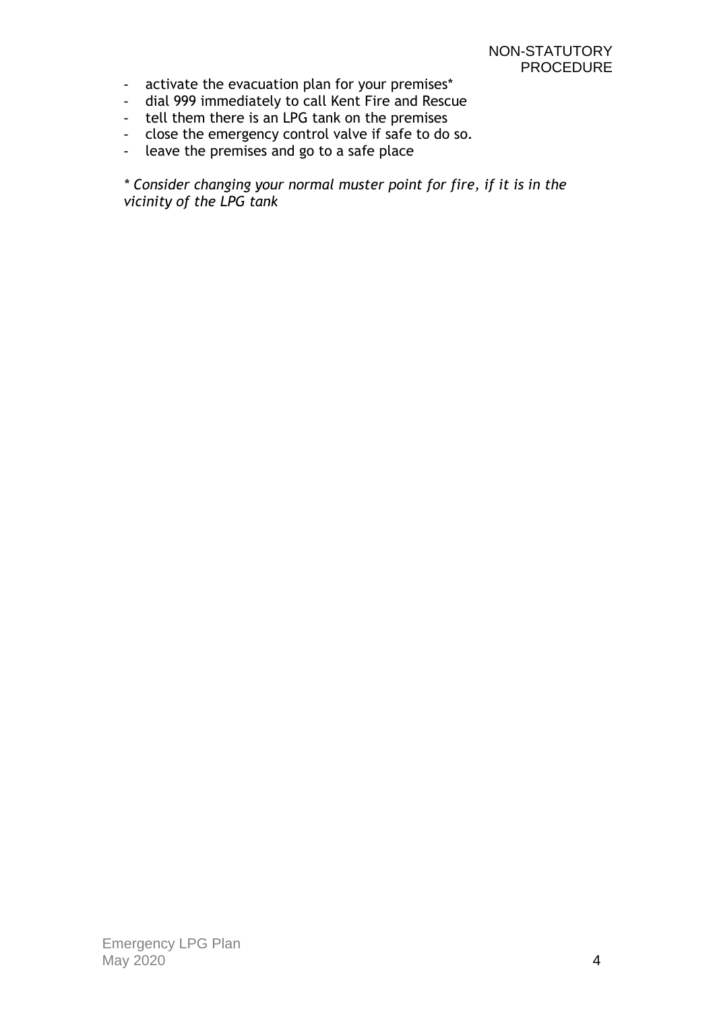- activate the evacuation plan for your premises\*
- dial 999 immediately to call Kent Fire and Rescue
- tell them there is an LPG tank on the premises
- close the emergency control valve if safe to do so.
- leave the premises and go to a safe place

*\* Consider changing your normal muster point for fire, if it is in the vicinity of the LPG tank*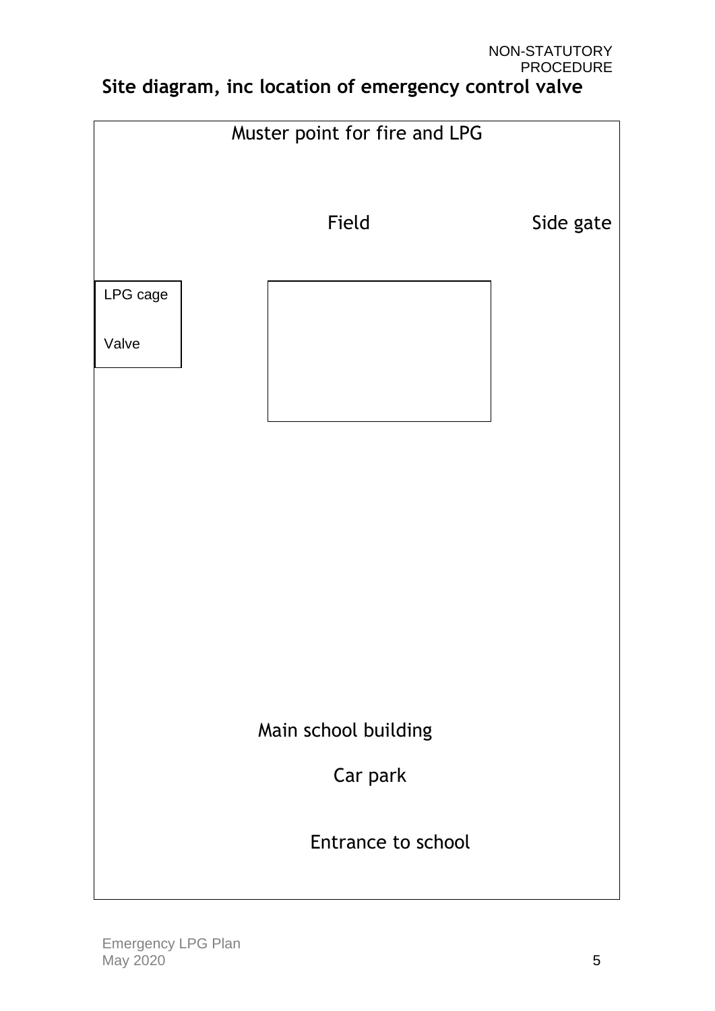### NON-STATUTORY PROCEDURE **Site diagram, inc location of emergency control valve**

<span id="page-4-0"></span>